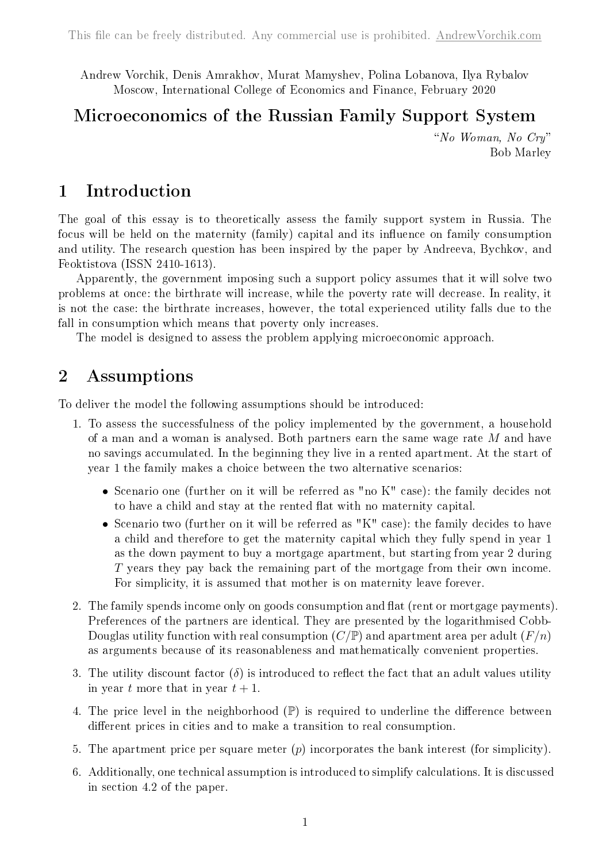Andrew Vorchik, Denis Amrakhov, Murat Mamyshev, Polina Lobanova, Ilya Rybalov Moscow, International College of Economics and Finance, February 2020

# Microeconomics of the Russian Family Support System

"No Woman, No Cry" Bob Marley

## 1 Introduction

The goal of this essay is to theoretically assess the family support system in Russia. The focus will be held on the maternity (family) capital and its influence on family consumption and utility. The research question has been inspired by the paper by Andreeva, Bychkov, and Feoktistova (ISSN 2410-1613).

Apparently, the government imposing such a support policy assumes that it will solve two problems at once: the birthrate will increase, while the poverty rate will decrease. In reality, it is not the case: the birthrate increases, however, the total experienced utility falls due to the fall in consumption which means that poverty only increases.

The model is designed to assess the problem applying microeconomic approach.

## 2 Assumptions

To deliver the model the following assumptions should be introduced:

- 1. To assess the successfulness of the policy implemented by the government, a household of a man and a woman is analysed. Both partners earn the same wage rate  $M$  and have no savings accumulated. In the beginning they live in a rented apartment. At the start of year 1 the family makes a choice between the two alternative scenarios:
	- ∙ Scenario one (further on it will be referred as "no K" case): the family decides not to have a child and stay at the rented flat with no maternity capital.
	- ∙ Scenario two (further on it will be referred as "K" case): the family decides to have a child and therefore to get the maternity capital which they fully spend in year 1 as the down payment to buy a mortgage apartment, but starting from year 2 during  $T$  years they pay back the remaining part of the mortgage from their own income. For simplicity, it is assumed that mother is on maternity leave forever.
- 2. The family spends income only on goods consumption and flat (rent or mortgage payments). Preferences of the partners are identical. They are presented by the logarithmised Cobb-Douglas utility function with real consumption  $(C/\mathbb{P})$  and apartment area per adult  $(F/n)$ as arguments because of its reasonableness and mathematically convenient properties.
- 3. The utility discount factor  $(\delta)$  is introduced to reflect the fact that an adult values utility in year t more that in year  $t + 1$ .
- 4. The price level in the neighborhood  $(\mathbb{P})$  is required to underline the difference between different prices in cities and to make a transition to real consumption.
- 5. The apartment price per square meter  $(p)$  incorporates the bank interest (for simplicity).
- 6. Additionally, one technical assumption is introduced to simplify calculations. It is discussed in section 4.2 of the paper.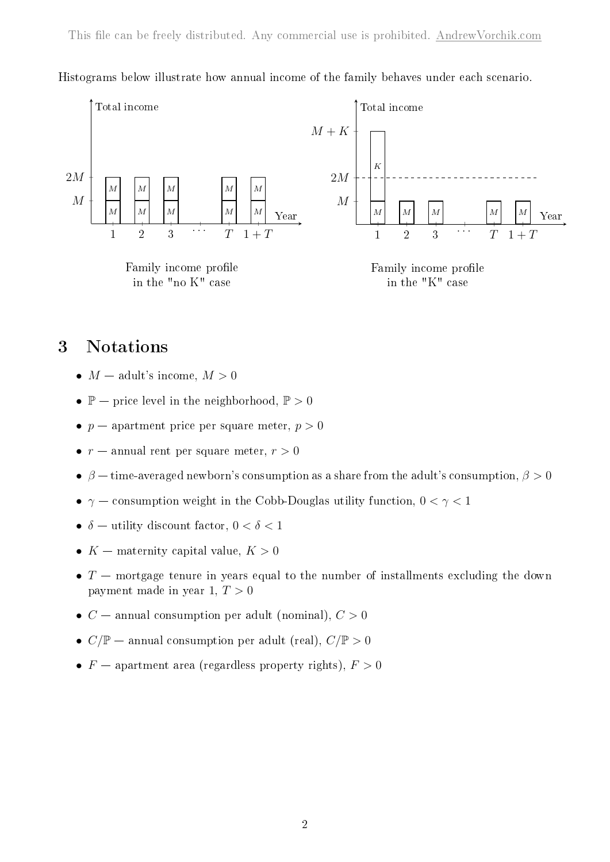

Histograms below illustrate how annual income of the family behaves under each scenario.

## 3 Notations

- $M$  adult's income,  $M > 0$
- $\mathbb{P}$  price level in the neighborhood,  $\mathbb{P} > 0$
- $p$  apartment price per square meter,  $p > 0$
- $r$  annual rent per square meter,  $r > 0$
- $\beta$  time-averaged newborn's consumption as a share from the adult's consumption,  $\beta > 0$
- $\gamma$  consumption weight in the Cobb-Douglas utility function, 0 <  $\gamma$  < 1
- $\delta$  utility discount factor,  $0 < \delta < 1$
- $K$  maternity capital value,  $K > 0$
- $T$  mortgage tenure in years equal to the number of installments excluding the down payment made in year 1,  $T > 0$
- $C$  annual consumption per adult (nominal),  $C > 0$
- $C/\mathbb{P}$  annual consumption per adult (real),  $C/\mathbb{P} > 0$
- $F$  apartment area (regardless property rights),  $F > 0$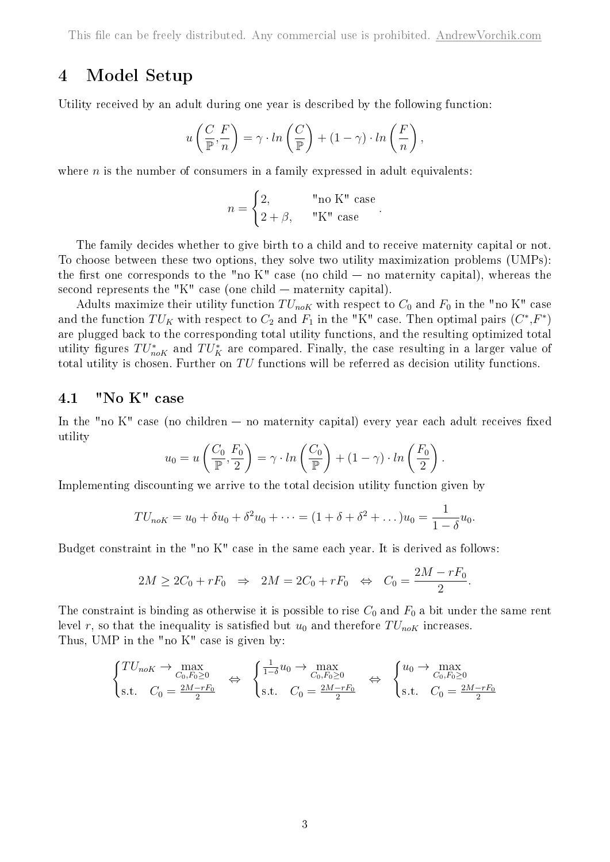## 4 Model Setup

Utility received by an adult during one year is described by the following function:

$$
u\left(\frac{C}{\mathbb{P}}, \frac{F}{n}\right) = \gamma \cdot \ln\left(\frac{C}{\mathbb{P}}\right) + (1 - \gamma) \cdot \ln\left(\frac{F}{n}\right),\,
$$

where  $n$  is the number of consumers in a family expressed in adult equivalents:

$$
n = \begin{cases} 2, & \text{"no K" case} \\ 2 + \beta, & \text{"K" case} \end{cases}
$$

.

The family decides whether to give birth to a child and to receive maternity capital or not. To choose between these two options, they solve two utility maximization problems (UMPs): the first one corresponds to the "no  $K$ " case (no child  $-$  no maternity capital), whereas the second represents the "K" case (one child — maternity capital).

Adults maximize their utility function  $TU_{n\circ K}$  with respect to  $C_0$  and  $F_0$  in the "no K" case and the function  $TU_K$  with respect to  $C_2$  and  $F_1$  in the "K" case. Then optimal pairs  $(C^*,F^*)$ are plugged back to the corresponding total utility functions, and the resulting optimized total utility figures  $TU^*_{n \text{o} K}$  and  $TU^*_K$  are compared. Finally, the case resulting in a larger value of total utility is chosen. Further on  $TU$  functions will be referred as decision utility functions.

### 4.1 "No K" case

In the "no  $K$ " case (no children — no maternity capital) every year each adult receives fixed utility

$$
u_0 = u\left(\frac{C_0}{\mathbb{P}}, \frac{F_0}{2}\right) = \gamma \cdot ln\left(\frac{C_0}{\mathbb{P}}\right) + (1 - \gamma) \cdot ln\left(\frac{F_0}{2}\right).
$$

Implementing discounting we arrive to the total decision utility function given by

$$
TU_{noK} = u_0 + \delta u_0 + \delta^2 u_0 + \dots = (1 + \delta + \delta^2 + \dots)u_0 = \frac{1}{1 - \delta}u_0.
$$

Budget constraint in the "no K" case in the same each year. It is derived as follows:

$$
2M \ge 2C_0 + rF_0 \Rightarrow 2M = 2C_0 + rF_0 \Leftrightarrow C_0 = \frac{2M - rF_0}{2}.
$$

The constraint is binding as otherwise it is possible to rise  $C_0$  and  $F_0$  a bit under the same rent level r, so that the inequality is satisfied but  $u_0$  and therefore  $TU_{n\circ K}$  increases. Thus, UMP in the "no K" case is given by:

$$
\begin{cases}\nTU_{noK} \to \max_{C_0, F_0 \ge 0} \\
s.t. \quad C_0 = \frac{2M - rF_0}{2}\n\end{cases}\n\Leftrightarrow\n\begin{cases}\n\frac{1}{1 - \delta}u_0 \to \max_{C_0, F_0 \ge 0} \\
s.t. \quad C_0 = \frac{2M - rF_0}{2}\n\end{cases}\n\Leftrightarrow\n\begin{cases}\nu_0 \to \max_{C_0, F_0 \ge 0} \\
s.t. \quad C_0 = \frac{2M - rF_0}{2}\n\end{cases}
$$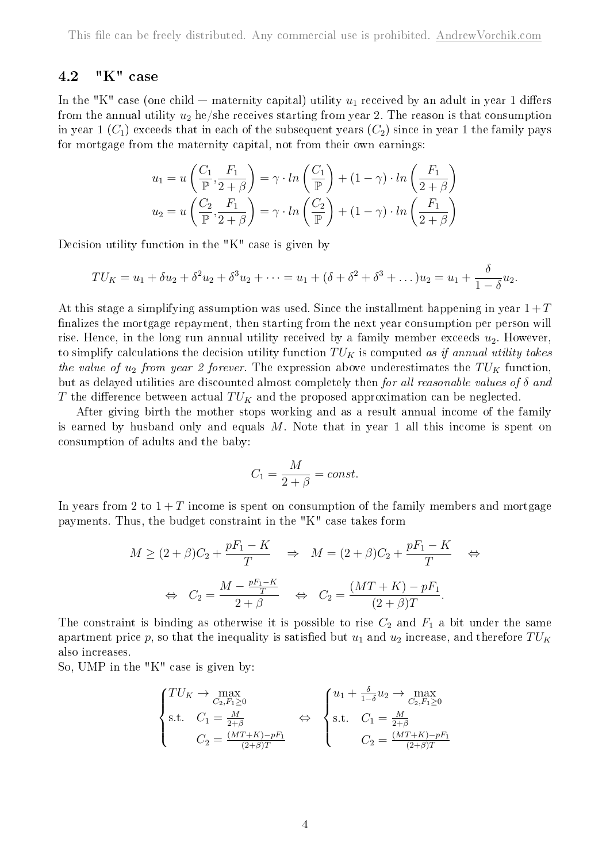### 4.2 "K" case

In the "K" case (one child — maternity capital) utility  $u_1$  received by an adult in year 1 differs from the annual utility  $u_2$  he/she receives starting from year 2. The reason is that consumption in year 1  $(C_1)$  exceeds that in each of the subsequent years  $(C_2)$  since in year 1 the family pays for mortgage from the maternity capital, not from their own earnings:

$$
u_1 = u\left(\frac{C_1}{\mathbb{P}}, \frac{F_1}{2+\beta}\right) = \gamma \cdot \ln\left(\frac{C_1}{\mathbb{P}}\right) + (1-\gamma) \cdot \ln\left(\frac{F_1}{2+\beta}\right)
$$

$$
u_2 = u\left(\frac{C_2}{\mathbb{P}}, \frac{F_1}{2+\beta}\right) = \gamma \cdot \ln\left(\frac{C_2}{\mathbb{P}}\right) + (1-\gamma) \cdot \ln\left(\frac{F_1}{2+\beta}\right)
$$

Decision utility function in the "K" case is given by

$$
TU_K = u_1 + \delta u_2 + \delta^2 u_2 + \delta^3 u_2 + \dots = u_1 + (\delta + \delta^2 + \delta^3 + \dots)u_2 = u_1 + \frac{\delta}{1 - \delta}u_2.
$$

At this stage a simplifying assumption was used. Since the installment happening in year  $1+T$ finalizes the mortgage repayment, then starting from the next year consumption per person will rise. Hence, in the long run annual utility received by a family member exceeds  $u_2$ . However, to simplify calculations the decision utility function  $TU_K$  is computed as if annual utility takes the value of  $u_2$  from year 2 forever. The expression above underestimates the  $TU_K$  function, but as delayed utilities are discounted almost completely then for all reasonable values of  $\delta$  and T the difference between actual  $TU_K$  and the proposed approximation can be neglected.

After giving birth the mother stops working and as a result annual income of the family is earned by husband only and equals  $M$ . Note that in year 1 all this income is spent on consumption of adults and the baby:

$$
C_1 = \frac{M}{2 + \beta} = const.
$$

In years from 2 to  $1 + T$  income is spent on consumption of the family members and mortgage payments. Thus, the budget constraint in the "K" case takes form

$$
M \ge (2+\beta)C_2 + \frac{pF_1 - K}{T} \Rightarrow M = (2+\beta)C_2 + \frac{pF_1 - K}{T} \Leftrightarrow
$$
  

$$
\Leftrightarrow C_2 = \frac{M - \frac{pF_1 - K}{T}}{2+\beta} \Leftrightarrow C_2 = \frac{(MT + K) - pF_1}{(2+\beta)T}.
$$

The constraint is binding as otherwise it is possible to rise  $C_2$  and  $F_1$  a bit under the same apartment price p, so that the inequality is satisfied but  $u_1$  and  $u_2$  increase, and therefore  $TU_K$ also increases.

So, UMP in the "K" case is given by:

$$
\begin{cases}\nTU_K \to \max_{C_2, F_1 \ge 0} \\
\text{s.t.} \quad C_1 = \frac{M}{2+\beta} \\
C_2 = \frac{(MT+K) - pF_1}{(2+\beta)T}\n\end{cases}\n\Leftrightarrow\n\begin{cases}\nu_1 + \frac{\delta}{1-\delta}u_2 \to \max_{C_2, F_1 \ge 0} \\
\text{s.t.} \quad C_1 = \frac{M}{2+\beta} \\
C_2 = \frac{(MT+K) - pF_1}{(2+\beta)T}\n\end{cases}
$$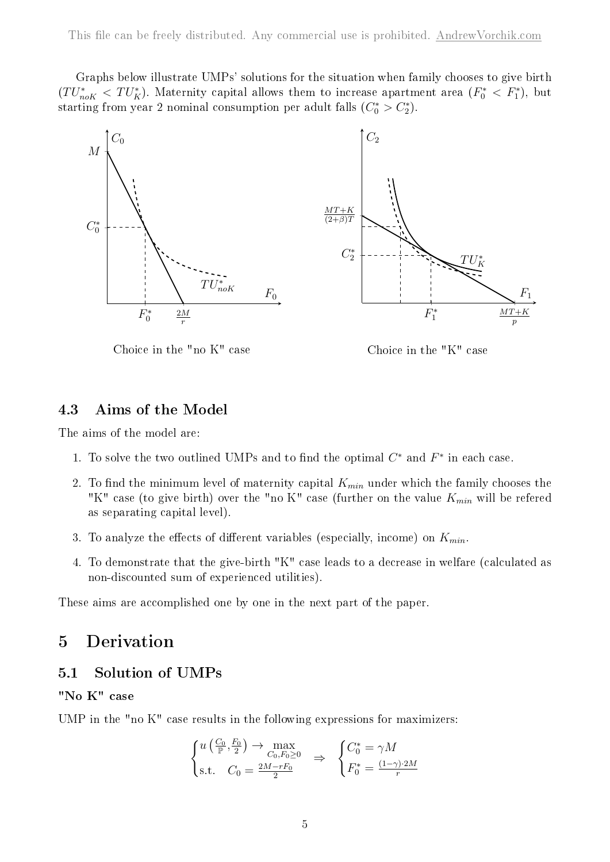Graphs below illustrate UMPs' solutions for the situation when family chooses to give birth  $(TU^*_{n \in K} < TU^*_K)$ . Maternity capital allows them to increase apartment area  $(F_0^* < F_1^*)$ , but starting from year 2 nominal consumption per adult falls  $(C_0^* > C_2^*)$ .



Choice in the "no K" case

Choice in the "K" case

### 4.3 Aims of the Model

The aims of the model are:

- 1. To solve the two outlined UMPs and to find the optimal  $C^*$  and  $F^*$  in each case.
- 2. To find the minimum level of maternity capital  $K_{min}$  under which the family chooses the "K" case (to give birth) over the "no K" case (further on the value  $K_{min}$  will be refered as separating capital level).
- 3. To analyze the effects of different variables (especially, income) on  $K_{min}$ .
- 4. To demonstrate that the give-birth "K" case leads to a decrease in welfare (calculated as non-discounted sum of experienced utilities).

These aims are accomplished one by one in the next part of the paper.

# 5 Derivation

### 5.1 Solution of UMPs

### "No K" case

UMP in the "no K" case results in the following expressions for maximizers:

$$
\begin{cases} u\left(\frac{C_0}{\mathbb{P}}, \frac{F_0}{2}\right) \to \max_{C_0, F_0 \ge 0} \\ \text{s.t.} \quad C_0 = \frac{2M - rF_0}{2} \end{cases} \Rightarrow \begin{cases} C_0^* = \gamma M \\ F_0^* = \frac{(1 - \gamma) \cdot 2M}{r} \end{cases}
$$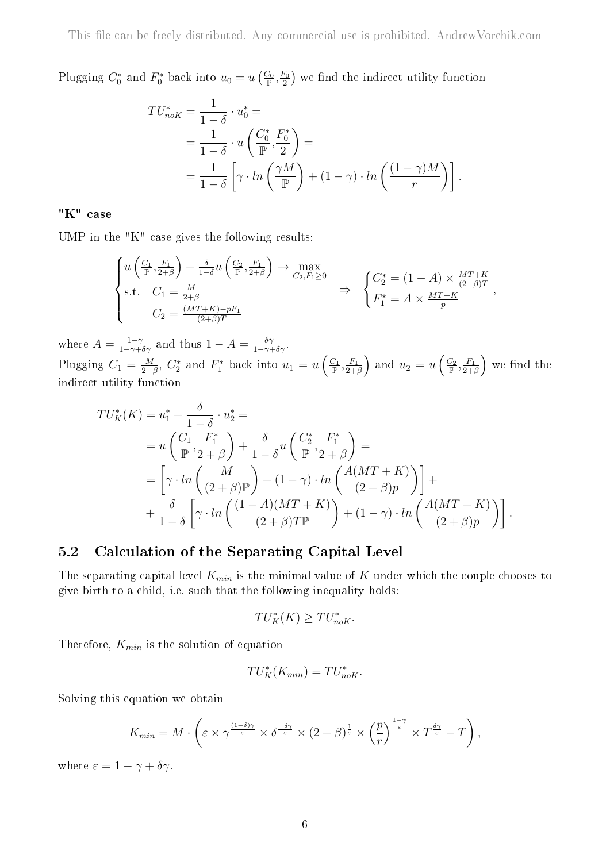Plugging  $C_0^*$  and  $F_0^*$  back into  $u_0 = u\left(\frac{C_0}{\mathbb{P}}, \frac{F_0}{2}\right)$  $\left(\frac{F_0}{2}\right)$  we find the indirect utility function

$$
TU_{n\circ K}^{*} = \frac{1}{1-\delta} \cdot u_0^{*} =
$$
  
=  $\frac{1}{1-\delta} \cdot u \left( \frac{C_0^{*}}{\mathbb{P}}, \frac{F_0^{*}}{2} \right) =$   
=  $\frac{1}{1-\delta} \left[ \gamma \cdot \ln \left( \frac{\gamma M}{\mathbb{P}} \right) + (1-\gamma) \cdot \ln \left( \frac{(1-\gamma)M}{r} \right) \right].$ 

### "K" case

UMP in the "K" case gives the following results:

$$
\begin{cases} u\left(\frac{C_1}{\mathbb{P}}, \frac{F_1}{2+\beta}\right) + \frac{\delta}{1-\delta} u\left(\frac{C_2}{\mathbb{P}}, \frac{F_1}{2+\beta}\right) \to \max_{C_2, F_1 \ge 0} \\ \text{s.t.} \quad C_1 = \frac{M}{2+\beta} \\ C_2 = \frac{(MT+K) - pF_1}{(2+\beta)T} \end{cases} \Rightarrow \begin{cases} C_2^* = (1-A) \times \frac{MT+K}{(2+\beta)T} \\ F_1^* = A \times \frac{MT+K}{p} \end{cases}
$$

where  $A = \frac{1-\gamma}{1-\gamma+\delta\gamma}$  and thus  $1-A = \frac{\delta\gamma}{1-\gamma+\delta\gamma}$ . Plugging  $C_1 = \frac{M}{2+1}$  $\frac{M}{2+\beta}$ ,  $C_2^*$  and  $F_1^*$  back into  $u_1 = u\left(\frac{C_1}{\mathbb{P}}, \frac{F_1}{2+\beta}\right)$  $\left(\frac{F_1}{2+\beta}\right)$  and  $u_2=u\left(\frac{C_2}{\mathbb{P}},\frac{F_1}{2+\beta}\right)$  $\frac{F_1}{2+\beta}$  we find the indirect utility function

$$
TU_K^*(K) = u_1^* + \frac{\delta}{1-\delta} \cdot u_2^* =
$$
  
=  $u\left(\frac{C_1}{\mathbb{P}} \cdot \frac{F_1^*}{2+\beta}\right) + \frac{\delta}{1-\delta} u\left(\frac{C_2^*}{\mathbb{P}} \cdot \frac{F_1^*}{2+\beta}\right) =$   
=  $\left[\gamma \cdot \ln\left(\frac{M}{(2+\beta)\mathbb{P}}\right) + (1-\gamma) \cdot \ln\left(\frac{A(MT+K)}{(2+\beta)p}\right)\right] +$   
+  $\frac{\delta}{1-\delta} \left[\gamma \cdot \ln\left(\frac{(1-A)(MT+K)}{(2+\beta)T\mathbb{P}}\right) + (1-\gamma) \cdot \ln\left(\frac{A(MT+K)}{(2+\beta)p}\right)\right].$ 

### 5.2 Calculation of the Separating Capital Level

The separating capital level  $K_{min}$  is the minimal value of K under which the couple chooses to give birth to a child, i.e. such that the following inequality holds:

$$
TU_K^*(K) \geq TU_{noK}^*.
$$

Therefore,  $K_{min}$  is the solution of equation

$$
TU_K^*(K_{min}) = TU_{noK}^*.
$$

Solving this equation we obtain

$$
K_{min} = M \cdot \left( \varepsilon \times \gamma^{\frac{(1-\delta)\gamma}{\varepsilon}} \times \delta^{\frac{-\delta\gamma}{\varepsilon}} \times (2+\beta)^{\frac{1}{\varepsilon}} \times \left(\frac{p}{r}\right)^{\frac{1-\gamma}{\varepsilon}} \times T^{\frac{\delta\gamma}{\varepsilon}} - T \right),
$$

where  $\varepsilon = 1 - \gamma + \delta \gamma$ .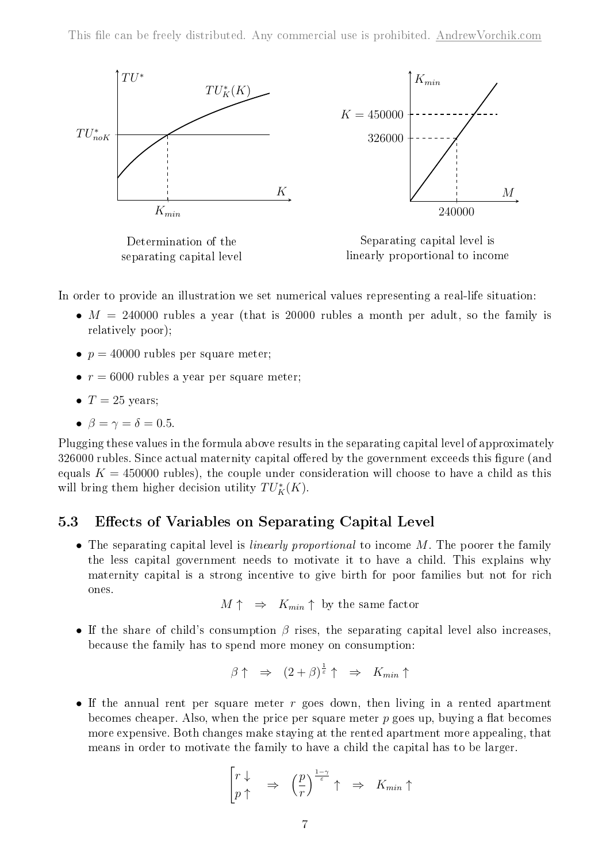

Determination of the separating capital level

Separating capital level is linearly proportional to income

In order to provide an illustration we set numerical values representing a real-life situation:

- $M = 240000$  rubles a year (that is 20000 rubles a month per adult, so the family is relatively poor);
- $p = 40000$  rubles per square meter;
- $r = 6000$  rubles a year per square meter;
- $\bullet$  T = 25 years;
- $\beta = \gamma = \delta = 0.5$ .

Plugging these values in the formula above results in the separating capital level of approximately 326000 rubles. Since actual maternity capital offered by the government exceeds this figure (and equals  $K = 450000$  rubles), the couple under consideration will choose to have a child as this will bring them higher decision utility  $TU_K^*(K)$ .

### 5.3 Effects of Variables on Separating Capital Level

• The separating capital level is *linearly proportional* to income  $M$ . The poorer the family the less capital government needs to motivate it to have a child. This explains why maternity capital is a strong incentive to give birth for poor families but not for rich ones.

 $M \uparrow \Rightarrow K_{min} \uparrow$  by the same factor

• If the share of child's consumption  $\beta$  rises, the separating capital level also increases. because the family has to spend more money on consumption:

$$
\beta \uparrow \Rightarrow (2+\beta)^{\frac{1}{\varepsilon}} \uparrow \Rightarrow K_{min} \uparrow
$$

∙ If the annual rent per square meter goes down, then living in a rented apartment becomes cheaper. Also, when the price per square meter  $p$  goes up, buying a flat becomes more expensive. Both changes make staying at the rented apartment more appealing, that means in order to motivate the family to have a child the capital has to be larger.

$$
\begin{bmatrix} r \downarrow & \downarrow \\ p \uparrow & \end{bmatrix} \Rightarrow \begin{pmatrix} \frac{p}{r} \end{pmatrix} \stackrel{1-\gamma}{\varepsilon} \uparrow & \Rightarrow K_{min} \uparrow
$$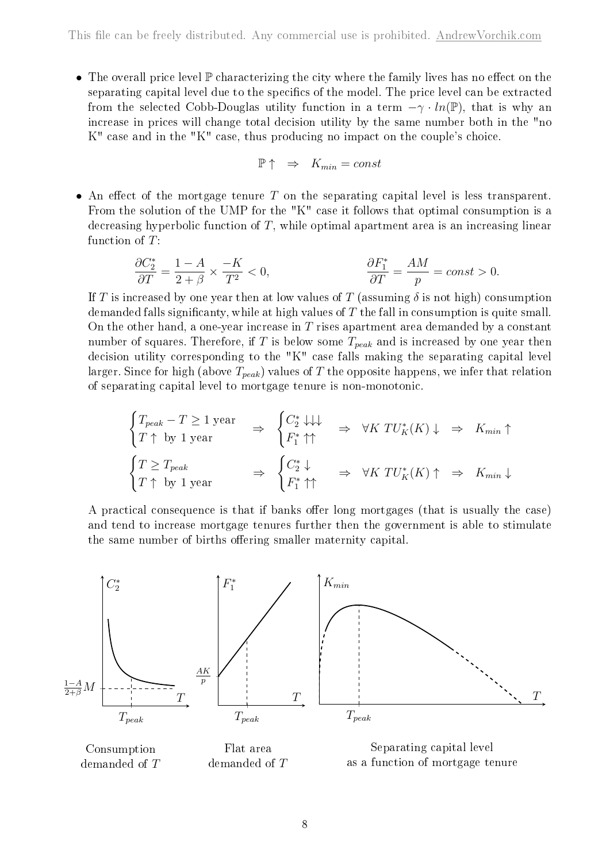∙ The overall price level P characterizing the city where the family lives has no effect on the separating capital level due to the specifics of the model. The price level can be extracted from the selected Cobb-Douglas utility function in a term  $-\gamma \cdot ln(\mathbb{P})$ , that is why an increase in prices will change total decision utility by the same number both in the "no K" case and in the "K" case, thus producing no impact on the couple's choice.

$$
\mathbb{P} \uparrow \Rightarrow K_{min} = const
$$

• An effect of the mortgage tenure  $T$  on the separating capital level is less transparent. From the solution of the UMP for the "K" case it follows that optimal consumption is a decreasing hyperbolic function of  $T$ , while optimal apartment area is an increasing linear function of  $T$ :

$$
\frac{\partial C_2^*}{\partial T} = \frac{1 - A}{2 + \beta} \times \frac{-K}{T^2} < 0, \qquad \frac{\partial F_1^*}{\partial T} = \frac{AM}{p} = const > 0.
$$

If T is increased by one year then at low values of T (assuming  $\delta$  is not high) consumption demanded falls significanty, while at high values of  $T$  the fall in consumption is quite small. On the other hand, a one-year increase in  $T$  rises apartment area demanded by a constant number of squares. Therefore, if T is below some  $T_{peak}$  and is increased by one year then decision utility corresponding to the "K" case falls making the separating capital level larger. Since for high (above  $T_{peak}$ ) values of T the opposite happens, we infer that relation of separating capital level to mortgage tenure is non-monotonic.

$$
\begin{cases}\nT_{peak} - T \ge 1 \text{ year} \\
T \uparrow \text{ by 1 year}\n\end{cases}\n\Rightarrow\n\begin{cases}\nC_2^* \downarrow \downarrow \downarrow \\
F_1^* \uparrow \uparrow\n\end{cases}\n\Rightarrow\n\forall K \text{ TU}_K^*(K) \downarrow \Rightarrow K_{min} \uparrow\n\begin{cases}\nT \ge T_{peak} \\
T \uparrow \text{ by 1 year}\n\end{cases}\n\Rightarrow\n\begin{cases}\nC_2^* \downarrow \\
F_1^* \uparrow \uparrow\n\end{cases}\n\Rightarrow\n\forall K \text{ TU}_K^*(K) \uparrow \Rightarrow K_{min} \downarrow\n\end{cases}
$$

A practical consequence is that if banks offer long mortgages (that is usually the case) and tend to increase mortgage tenures further then the government is able to stimulate the same number of births offering smaller maternity capital.



Consumption demanded of T

Flat area demanded of T

Separating capital level as a function of mortgage tenure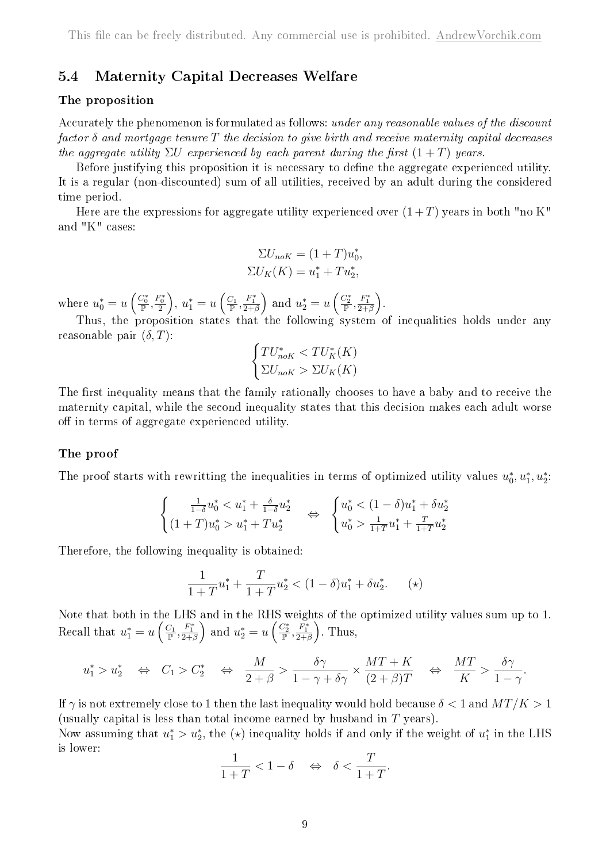### 5.4 Maternity Capital Decreases Welfare

#### The proposition

Accurately the phenomenon is formulated as follows: under any reasonable values of the discount factor  $\delta$  and mortgage tenure T the decision to give birth and receive maternity capital decreases the aggregate utility  $\Sigma U$  experienced by each parent during the first  $(1+T)$  years.

Before justifying this proposition it is necessary to define the aggregate experienced utility. It is a regular (non-discounted) sum of all utilities, received by an adult during the considered time period.

Here are the expressions for aggregate utility experienced over  $(1+T)$  years in both "no K" and "K" cases:

$$
\Sigma U_{noK} = (1+T)u_0^*,
$$
  

$$
\Sigma U_K(K) = u_1^* + Tu_2^*,
$$

where  $u_0^* = u\left(\frac{C_0^*}{\mathbb{P}}, \frac{F_0^*}{2}\right), u_1^* = u\left(\frac{C_1}{\mathbb{P}}, \frac{F_1^*}{2+\beta}\right)$  and  $u_2^* = u\left(\frac{C_2^*}{\mathbb{P}}, \frac{F_1^*}{2+\beta}\right)$ .

Thus, the proposition states that the following system of inequalities holds under any reasonable pair  $(\delta, T)$ :

$$
\begin{cases} TU_{noK}^* < TU_K^*(K) \\ \Sigma U_{noK} > \Sigma U_K(K) \end{cases}
$$

The first inequality means that the family rationally chooses to have a baby and to receive the maternity capital, while the second inequality states that this decision makes each adult worse off in terms of aggregate experienced utility.

#### The proof

The proof starts with rewritting the inequalities in terms of optimized utility values  $u_0^*, u_1^*, u_2^*$ .

$$
\begin{cases} \frac{1}{1-\delta}u_0^* < u_1^* + \frac{\delta}{1-\delta}u_2^* \\ (1+T)u_0^* > u_1^* + Tu_2^* \end{cases} \Leftrightarrow \begin{cases} u_0^* < (1-\delta)u_1^* + \delta u_2^* \\ u_0^* > \frac{1}{1+T}u_1^* + \frac{T}{1+T}u_2^* \end{cases}
$$

Therefore, the following inequality is obtained:

$$
\frac{1}{1+T}u_1^* + \frac{T}{1+T}u_2^* < (1-\delta)u_1^* + \delta u_2^*.\tag{(*)}
$$

Note that both in the LHS and in the RHS weights of the optimized utility values sum up to 1. Recall that  $u_1^* = u\left(\frac{C_1}{\mathbb{P}}, \frac{F_1^*}{2+\beta}\right)$  and  $u_2^* = u\left(\frac{C_2^*}{\mathbb{P}}, \frac{F_1^*}{2+\beta}\right)$ . Thus,

$$
u_1^* > u_2^* \quad \Leftrightarrow \quad C_1 > C_2^* \quad \Leftrightarrow \quad \frac{M}{2+\beta} > \frac{\delta \gamma}{1-\gamma+\delta \gamma} \times \frac{MT+K}{(2+\beta)T} \quad \Leftrightarrow \quad \frac{MT}{K} > \frac{\delta \gamma}{1-\gamma}.
$$

If  $\gamma$  is not extremely close to 1 then the last inequality would hold because  $\delta < 1$  and  $MT/K > 1$ (usually capital is less than total income earned by husband in  $T$  years).

Now assuming that  $u_1^* > u_2^*$ , the  $(\star)$  inequality holds if and only if the weight of  $u_1^*$  in the LHS is lower:

$$
\frac{1}{1+T} < 1 - \delta \quad \Leftrightarrow \quad \delta < \frac{T}{1+T}.
$$